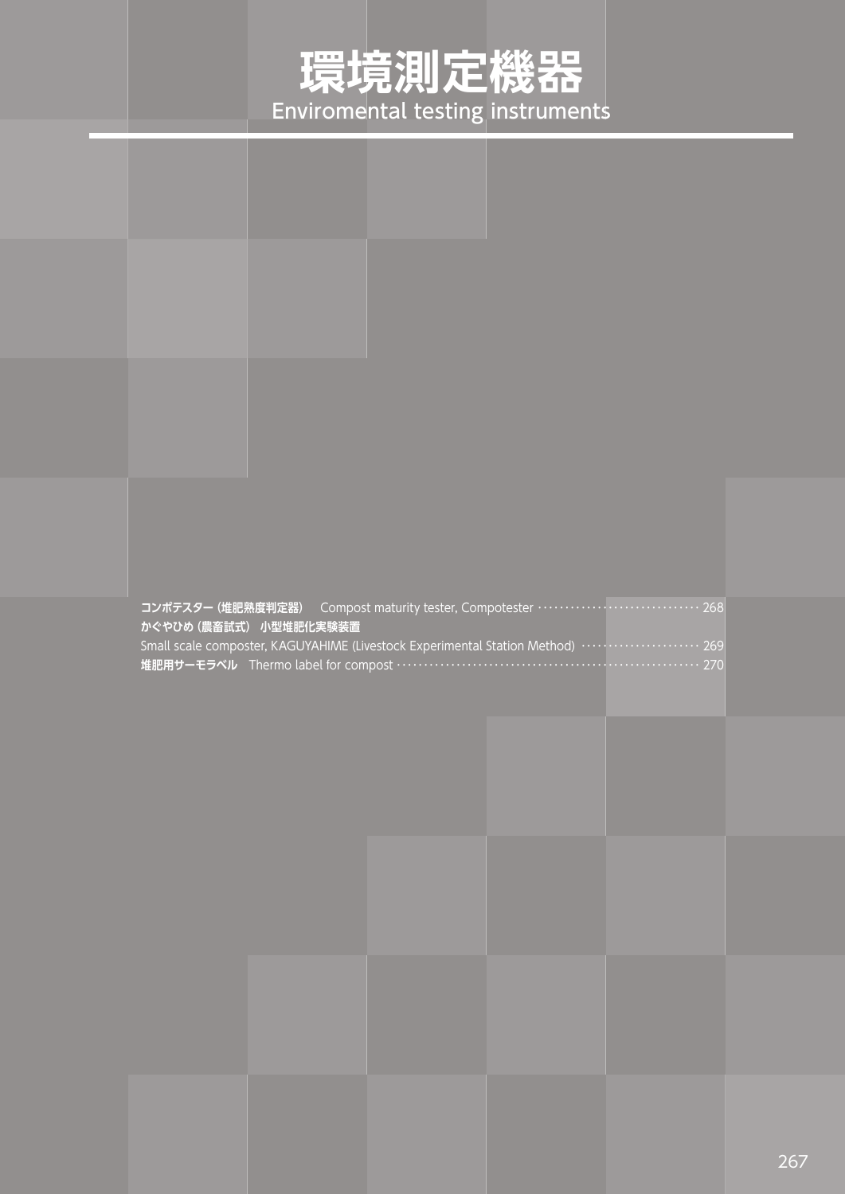## **環境測定機器** Enviromental testing instruments

|                        | コンポテスター (堆肥熟度判定器) Compost maturity tester, Compotester ·························· 268 |  |
|------------------------|---------------------------------------------------------------------------------------|--|
| かぐやひめ (農畜試式) 小型堆肥化実験装置 |                                                                                       |  |
|                        | Small scale composter, KAGUYAHIME (Livestock Experimental Station Method)  269        |  |
|                        | 堆肥用サーモラベル Thermo label for compost ……………………………………………………………… 270                       |  |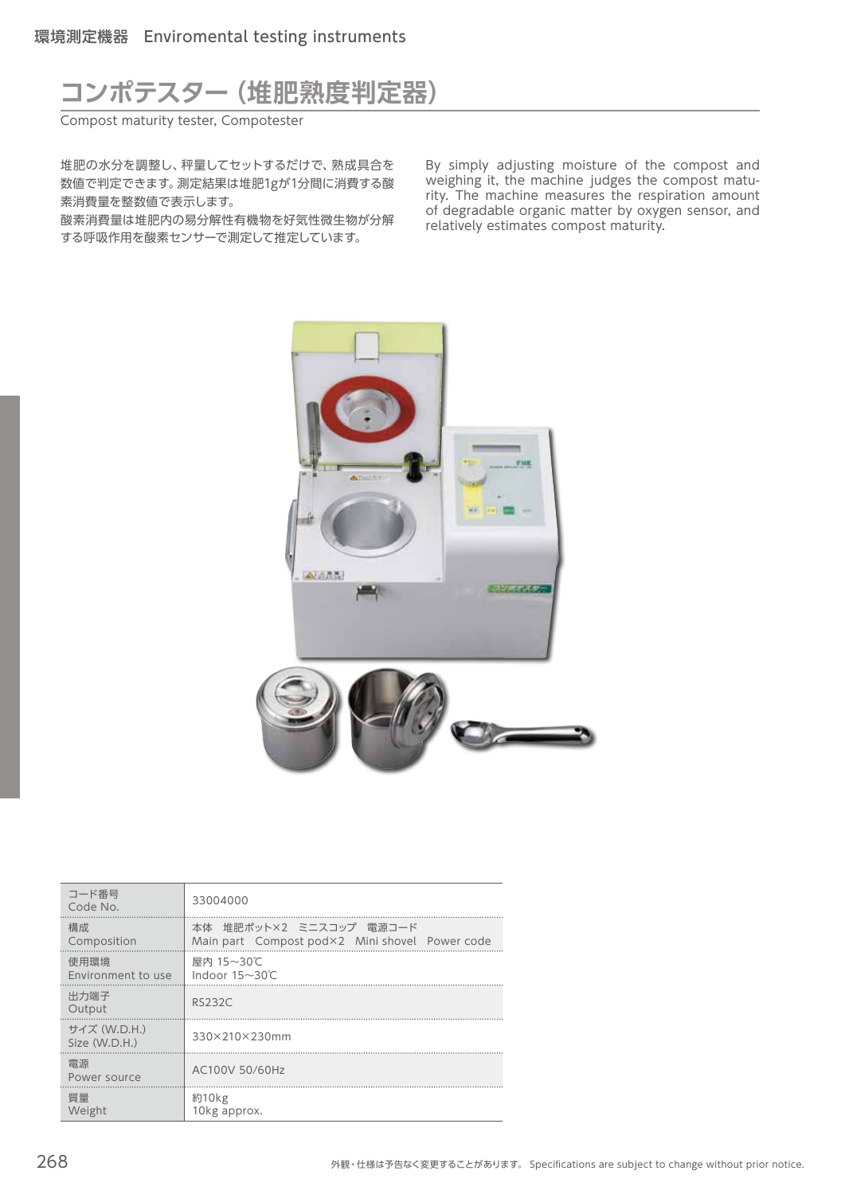## **コンポテスター(堆肥熟度判定器)**

Compost maturity tester, Compotester

堆肥の水分を調整し、秤量してセットするだけで、熟成具合を 数値で判定できます。測定結果は堆肥1gが1分間に消費する酸 素消費量を整数値で表示します。

酸素消費量は堆肥内の易分解性有機物を好気性微生物が分解 する呼吸作用を酸素センサーで測定して推定しています。

By simply adjusting moisture of the compost and weighing it, the machine judges the compost maturity. The machine measures the respiration amount of degradable organic matter by oxygen sensor, and relatively estimates compost maturity.



| コード番号<br>Code No.             | 33004000                                                                  |
|-------------------------------|---------------------------------------------------------------------------|
| 構成.<br>Composition            | 本体 堆肥ポット×2 ミニスコップ 電源コード<br>Main part Compost pod×2 Mini shovel Power code |
| 使用環境<br>Environment to use    | 屋内 15~30℃<br>Indoor $15 \sim 30^{\circ}$ C                                |
| 出力端子<br>Output                | <b>RS232C</b>                                                             |
| サイズ (W.D.H.)<br>Size (W.D.H.) | 330×210×230mm                                                             |
| 雷源<br>Power source            | AC100V 50/60Hz                                                            |
| 暂量<br>Weight                  | 約10kg<br>10kg approx.                                                     |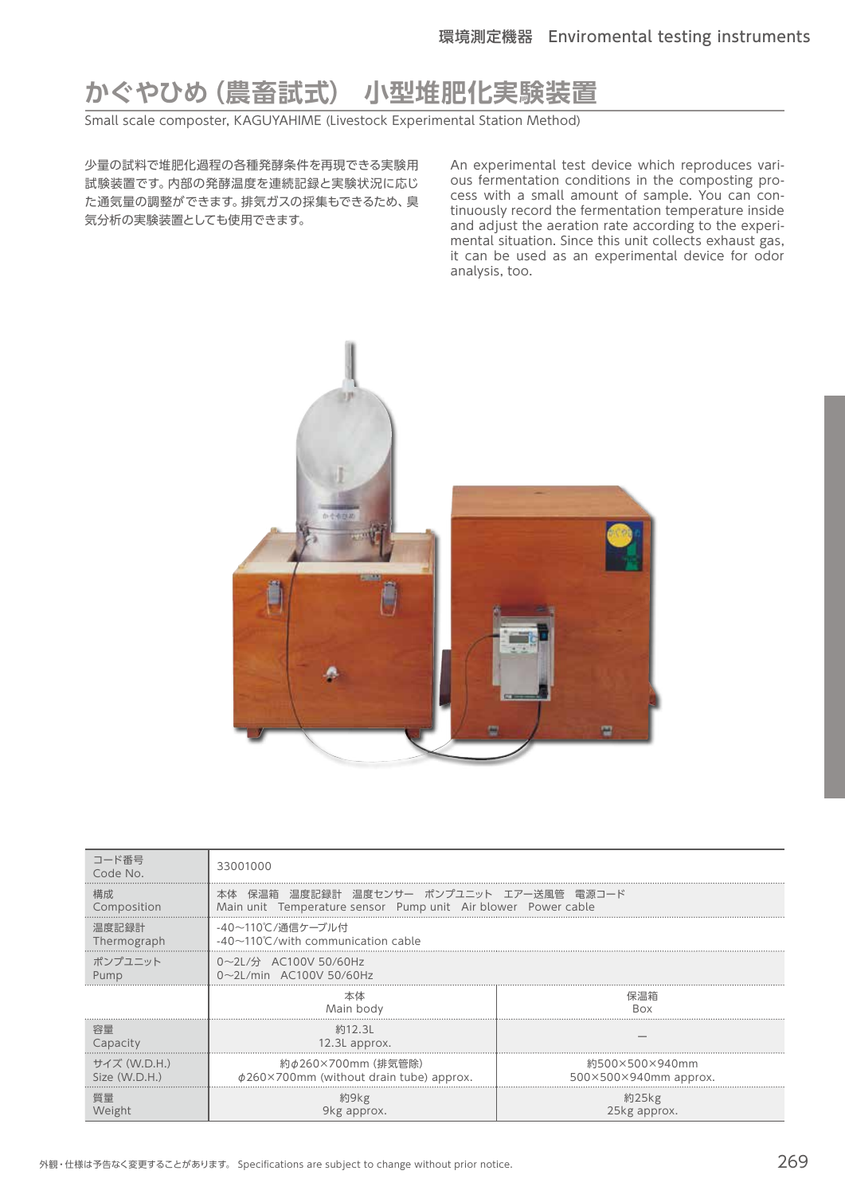## **かぐやひめ(農畜試式) 小型堆肥化実験装置**

Small scale composter, KAGUYAHIME (Livestock Experimental Station Method)

少量の試料で堆肥化過程の各種発酵条件を再現できる実験用 試験装置です。内部の発酵温度を連続記録と実験状況に応じ た通気量の調整ができます。排気ガスの採集もできるため、臭 気分析の実験装置としても使用できます。

An experimental test device which reproduces various fermentation conditions in the composting process with a small amount of sample. You can continuously record the fermentation temperature inside and adjust the aeration rate according to the experimental situation. Since this unit collects exhaust gas, it can be used as an experimental device for odor analysis, too.



| コード番号<br>Code No.             | 33001000                                                                                                  |                                                          |  |
|-------------------------------|-----------------------------------------------------------------------------------------------------------|----------------------------------------------------------|--|
| 構成<br>Composition             | 本体 保温箱 温度記録計 温度センサー ポンプユニット エアー送風管 電源コード<br>Main unit Temperature sensor Pump unit Air blower Power cable |                                                          |  |
| 温度記録計<br>Thermograph          | -40~110℃/通信ケーブル付<br>$-40\sim110^{\circ}$ C/with communication cable                                       |                                                          |  |
| ポンプユニット<br>Pump               | $0 \sim$ 2L/分 AC100V 50/60Hz<br>0~2L/min AC100V 50/60Hz                                                   |                                                          |  |
|                               | 本体<br>Main body                                                                                           | 保温箱<br>Rox                                               |  |
| 容量<br>Capacity                | 約12.3L<br>12.3L approx.                                                                                   |                                                          |  |
| サイズ (W.D.H.)<br>Size (W.D.H.) | 約φ260×700mm (排気管除)<br>$\phi$ 260×700mm (without drain tube) approx.                                       | 約500×500×940mm<br>$500\times500\times940$ mm approx.<br> |  |
| 質量<br>Weight                  | 約9kg<br>9kg approx.                                                                                       | 約25kg<br>25kg approx.                                    |  |